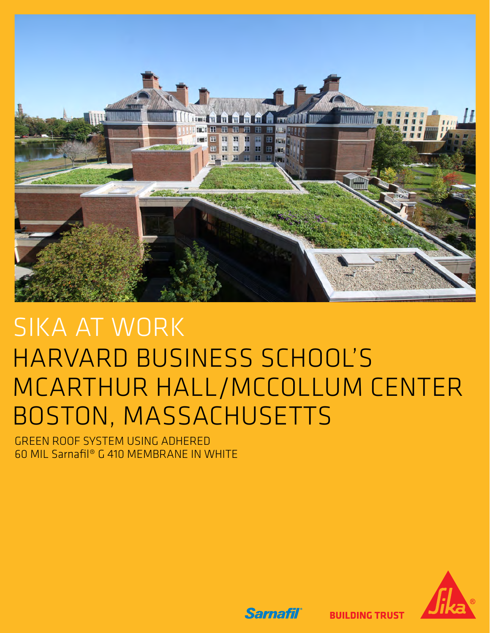

# SIKA AT WORK HARVARD BUSINESS SCHOOL'S MCARTHUR HALL/MCCOLLUM CENTER BOSTON, MASSACHUSETTS

GREEN ROOF SYSTEM USING ADHERED 60 MIL Sarnafil® G 410 MEMBRANE IN WHITE



**BUILDING TRUST** 

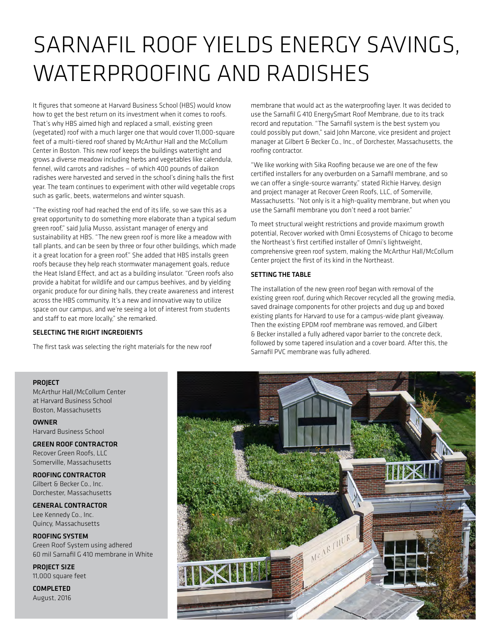# SARNAFIL ROOF YIELDS ENERGY SAVINGS, WATERPROOFING AND RADISHES

It figures that someone at Harvard Business School (HBS) would know how to get the best return on its investment when it comes to roofs. That's why HBS aimed high and replaced a small, existing green (vegetated) roof with a much larger one that would cover 11,000-square feet of a multi-tiered roof shared by McArthur Hall and the McCollum Center in Boston. This new roof keeps the buildings watertight and grows a diverse meadow including herbs and vegetables like calendula, fennel, wild carrots and radishes — of which 400 pounds of daikon radishes were harvested and served in the school's dining halls the first year. The team continues to experiment with other wild vegetable crops such as garlic, beets, watermelons and winter squash.

"The existing roof had reached the end of its life, so we saw this as a great opportunity to do something more elaborate than a typical sedum green roof," said Julia Musso, assistant manager of energy and sustainability at HBS. "The new green roof is more like a meadow with tall plants, and can be seen by three or four other buildings, which made it a great location for a green roof." She added that HBS installs green roofs because they help reach stormwater management goals, reduce the Heat Island Effect, and act as a building insulator. "Green roofs also provide a habitat for wildlife and our campus beehives, and by yielding organic produce for our dining halls, they create awareness and interest across the HBS community. It's a new and innovative way to utilize space on our campus, and we're seeing a lot of interest from students and staff to eat more locally," she remarked.

### SELECTING THE RIGHT INGREDIENTS

The first task was selecting the right materials for the new roof

membrane that would act as the waterproofing layer. It was decided to use the Sarnafil G 410 EnergySmart Roof Membrane, due to its track record and reputation. "The Sarnafil system is the best system you could possibly put down," said John Marcone, vice president and project manager at Gilbert & Becker Co., Inc., of Dorchester, Massachusetts, the roofing contractor.

"We like working with Sika Roofing because we are one of the few certified installers for any overburden on a Sarnafil membrane, and so we can offer a single-source warranty," stated Richie Harvey, design and project manager at Recover Green Roofs, LLC, of Somerville, Massachusetts. "Not only is it a high-quality membrane, but when you use the Sarnafil membrane you don't need a root barrier."

To meet structural weight restrictions and provide maximum growth potential, Recover worked with Omni Ecosystems of Chicago to become the Northeast's first certified installer of Omni's lightweight, comprehensive green roof system, making the McArthur Hall/McCollum Center project the first of its kind in the Northeast.

#### SETTING THE TABLE

The installation of the new green roof began with removal of the existing green roof, during which Recover recycled all the growing media, saved drainage components for other projects and dug up and boxed existing plants for Harvard to use for a campus-wide plant giveaway. Then the existing EPDM roof membrane was removed, and Gilbert & Becker installed a fully adhered vapor barrier to the concrete deck, followed by some tapered insulation and a cover board. After this, the Sarnafil PVC membrane was fully adhered.

# PROJECT

McArthur Hall/McCollum Center at Harvard Business School Boston, Massachusetts

OWNER Harvard Business School

GREEN ROOF CONTRACTOR Recover Green Roofs, LLC Somerville, Massachusetts

ROOFING CONTRACTOR Gilbert & Becker Co., Inc. Dorchester, Massachusetts

GENERAL CONTRACTOR Lee Kennedy Co., Inc. Quincy, Massachusetts

ROOFING SYSTEM Green Roof System using adhered 60 mil Sarnafil G 410 membrane in White

PROJECT SIZE 11,000 square feet

COMPLETED August, 2016

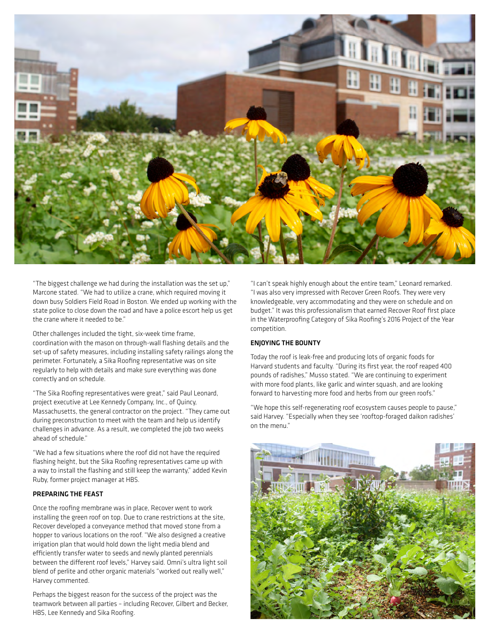

"The biggest challenge we had during the installation was the set up," Marcone stated. "We had to utilize a crane, which required moving it down busy Soldiers Field Road in Boston. We ended up working with the state police to close down the road and have a police escort help us get the crane where it needed to be."

Other challenges included the tight, six-week time frame, coordination with the mason on through-wall flashing details and the set-up of safety measures, including installing safety railings along the perimeter. Fortunately, a Sika Roofing representative was on site regularly to help with details and make sure everything was done correctly and on schedule.

"The Sika Roofing representatives were great," said Paul Leonard, project executive at Lee Kennedy Company, Inc., of Quincy, Massachusetts, the general contractor on the project. "They came out during preconstruction to meet with the team and help us identify challenges in advance. As a result, we completed the job two weeks ahead of schedule."

"We had a few situations where the roof did not have the required flashing height, but the Sika Roofing representatives came up with a way to install the flashing and still keep the warranty," added Kevin Ruby, former project manager at HBS.

#### PREPARING THE FEAST

Once the roofing membrane was in place, Recover went to work installing the green roof on top. Due to crane restrictions at the site, Recover developed a conveyance method that moved stone from a hopper to various locations on the roof. "We also designed a creative irrigation plan that would hold down the light media blend and efficiently transfer water to seeds and newly planted perennials between the different roof levels," Harvey said. Omni's ultra light soil blend of perlite and other organic materials "worked out really well," Harvey commented.

Perhaps the biggest reason for the success of the project was the teamwork between all parties – including Recover, Gilbert and Becker, HBS, Lee Kennedy and Sika Roofing.

"I can't speak highly enough about the entire team," Leonard remarked. "I was also very impressed with Recover Green Roofs. They were very knowledgeable, very accommodating and they were on schedule and on budget." It was this professionalism that earned Recover Roof first place in the Waterproofing Category of Sika Roofing's 2016 Project of the Year competition.

# ENJOYING THE BOUNTY

Today the roof is leak-free and producing lots of organic foods for Harvard students and faculty. "During its first year, the roof reaped 400 pounds of radishes," Musso stated. "We are continuing to experiment with more food plants, like garlic and winter squash, and are looking forward to harvesting more food and herbs from our green roofs."

"We hope this self-regenerating roof ecosystem causes people to pause," said Harvey. "Especially when they see 'rooftop-foraged daikon radishes' on the menu."